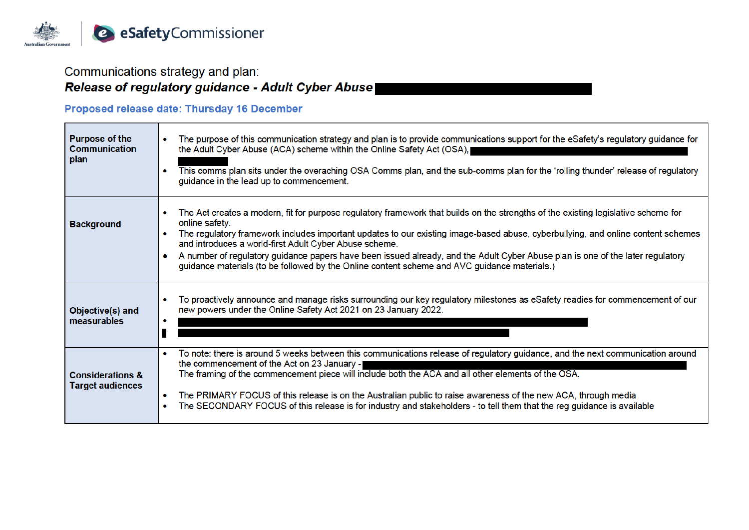

## Communications strategy and plan:

# Release of regulatory guidance - Adult Cyber Abuse

## Proposed release date: Thursday 16 December

| <b>Purpose of the</b><br><b>Communication</b><br>plan  | The purpose of this communication strategy and plan is to provide communications support for the eSafety's regulatory guidance for<br>the Adult Cyber Abuse (ACA) scheme within the Online Safety Act (OSA), I<br>This comms plan sits under the overaching OSA Comms plan, and the sub-comms plan for the 'rolling thunder' release of regulatory<br>guidance in the lead up to commencement.                                                                                                                                                                                       |
|--------------------------------------------------------|--------------------------------------------------------------------------------------------------------------------------------------------------------------------------------------------------------------------------------------------------------------------------------------------------------------------------------------------------------------------------------------------------------------------------------------------------------------------------------------------------------------------------------------------------------------------------------------|
| <b>Background</b>                                      | The Act creates a modern, fit for purpose regulatory framework that builds on the strengths of the existing legislative scheme for<br>online safety.<br>The regulatory framework includes important updates to our existing image-based abuse, cyberbullying, and online content schemes<br>and introduces a world-first Adult Cyber Abuse scheme.<br>A number of regulatory guidance papers have been issued already, and the Adult Cyber Abuse plan is one of the later regulatory<br>guidance materials (to be followed by the Online content scheme and AVC guidance materials.) |
| Objective(s) and<br>measurables                        | To proactively announce and manage risks surrounding our key regulatory milestones as eSafety readies for commencement of our<br>new powers under the Online Safety Act 2021 on 23 January 2022.                                                                                                                                                                                                                                                                                                                                                                                     |
| <b>Considerations &amp;</b><br><b>Target audiences</b> | To note: there is around 5 weeks between this communications release of regulatory guidance, and the next communication around<br>the commencement of the Act on 23 January -<br>The framing of the commencement piece will include both the ACA and all other elements of the OSA.<br>The PRIMARY FOCUS of this release is on the Australian public to raise awareness of the new ACA, through media<br>۰<br>The SECONDARY FOCUS of this release is for industry and stakeholders - to tell them that the reg guidance is available                                                 |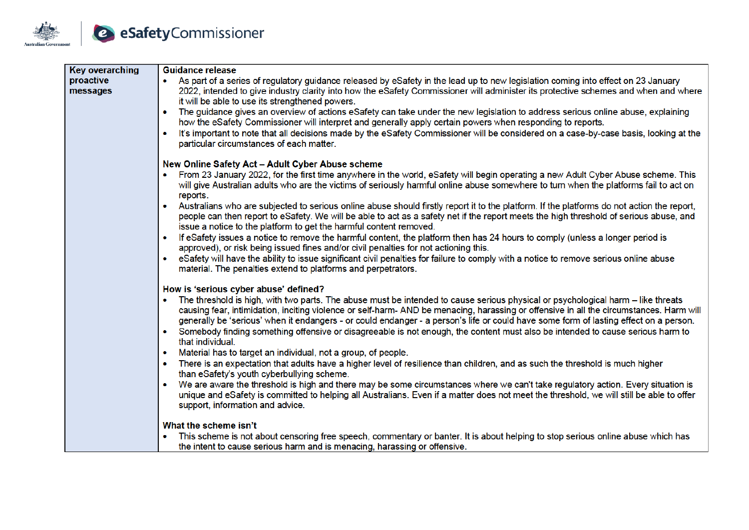

| <b>Key overarching</b> | <b>Guidance release</b>                                                                                                                                                                                                                                                                                                                                                                                                           |  |  |  |  |
|------------------------|-----------------------------------------------------------------------------------------------------------------------------------------------------------------------------------------------------------------------------------------------------------------------------------------------------------------------------------------------------------------------------------------------------------------------------------|--|--|--|--|
| proactive<br>messages  | As part of a series of regulatory guidance released by eSafety in the lead up to new legislation coming into effect on 23 January<br>2022, intended to give industry clarity into how the eSafety Commissioner will administer its protective schemes and when and where<br>it will be able to use its strengthened powers.                                                                                                       |  |  |  |  |
|                        | The guidance gives an overview of actions eSafety can take under the new legislation to address serious online abuse, explaining<br>$\bullet$<br>how the eSafety Commissioner will interpret and generally apply certain powers when responding to reports.                                                                                                                                                                       |  |  |  |  |
|                        | It's important to note that all decisions made by the eSafety Commissioner will be considered on a case-by-case basis, looking at the<br>$\bullet$<br>particular circumstances of each matter.                                                                                                                                                                                                                                    |  |  |  |  |
|                        | New Online Safety Act - Adult Cyber Abuse scheme                                                                                                                                                                                                                                                                                                                                                                                  |  |  |  |  |
|                        | From 23 January 2022, for the first time anywhere in the world, eSafety will begin operating a new Adult Cyber Abuse scheme. This<br>will give Australian adults who are the victims of seriously harmful online abuse somewhere to turn when the platforms fail to act on<br>reports.                                                                                                                                            |  |  |  |  |
|                        | Australians who are subjected to serious online abuse should firstly report it to the platform. If the platforms do not action the report,<br>$\bullet$<br>people can then report to eSafety. We will be able to act as a safety net if the report meets the high threshold of serious abuse, and<br>issue a notice to the platform to get the harmful content removed.                                                           |  |  |  |  |
|                        | If eSafety issues a notice to remove the harmful content, the platform then has 24 hours to comply (unless a longer period is<br>$\bullet$<br>approved), or risk being issued fines and/or civil penalties for not actioning this.                                                                                                                                                                                                |  |  |  |  |
|                        | eSafety will have the ability to issue significant civil penalties for failure to comply with a notice to remove serious online abuse<br>$\bullet$<br>material. The penalties extend to platforms and perpetrators.                                                                                                                                                                                                               |  |  |  |  |
|                        | How is 'serious cyber abuse' defined?                                                                                                                                                                                                                                                                                                                                                                                             |  |  |  |  |
|                        | The threshold is high, with two parts. The abuse must be intended to cause serious physical or psychological harm – like threats<br>$\bullet$<br>causing fear, intimidation, inciting violence or self-harm- AND be menacing, harassing or offensive in all the circumstances. Harm will<br>generally be 'serious' when it endangers - or could endanger - a person's life or could have some form of lasting effect on a person. |  |  |  |  |
|                        | Somebody finding something offensive or disagreeable is not enough, the content must also be intended to cause serious harm to<br>$\bullet$<br>that individual.                                                                                                                                                                                                                                                                   |  |  |  |  |
|                        | Material has to target an individual, not a group, of people.<br>$\bullet$                                                                                                                                                                                                                                                                                                                                                        |  |  |  |  |
|                        | There is an expectation that adults have a higher level of resilience than children, and as such the threshold is much higher<br>$\bullet$<br>than eSafety's youth cyberbullying scheme.                                                                                                                                                                                                                                          |  |  |  |  |
|                        | We are aware the threshold is high and there may be some circumstances where we can't take regulatory action. Every situation is<br>$\bullet$<br>unique and eSafety is committed to helping all Australians. Even if a matter does not meet the threshold, we will still be able to offer                                                                                                                                         |  |  |  |  |
|                        | support, information and advice.                                                                                                                                                                                                                                                                                                                                                                                                  |  |  |  |  |
|                        | What the scheme isn't                                                                                                                                                                                                                                                                                                                                                                                                             |  |  |  |  |
|                        | This scheme is not about censoring free speech, commentary or banter. It is about helping to stop serious online abuse which has                                                                                                                                                                                                                                                                                                  |  |  |  |  |
|                        | the intent to cause serious harm and is menacing, harassing or offensive.                                                                                                                                                                                                                                                                                                                                                         |  |  |  |  |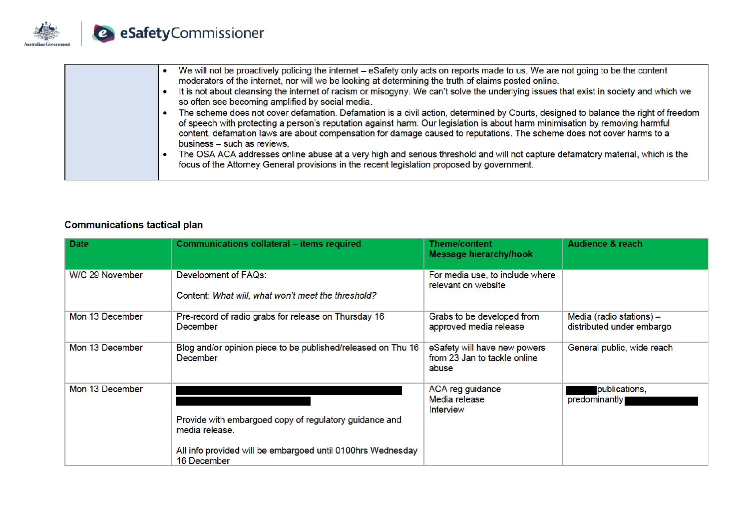

| We will not be proactively policing the internet – eSafety only acts on reports made to us. We are not going to be the content<br>moderators of the internet, nor will we be looking at determining the truth of claims posted online.<br>It is not about cleansing the internet of racism or misogyny. We can't solve the underlying issues that exist in society and which we<br>so often see becoming amplified by social media.<br>The scheme does not cover defamation. Defamation is a civil action, determined by Courts, designed to balance the right of freedom<br>of speech with protecting a person's reputation against harm. Our legislation is about harm minimisation by removing harmful<br>content, defamation laws are about compensation for damage caused to reputations. The scheme does not cover harms to a<br>business - such as reviews.<br>The OSA ACA addresses online abuse at a very high and serious threshold and will not capture defamatory material, which is the<br>focus of the Attorney General provisions in the recent legislation proposed by government. |
|----------------------------------------------------------------------------------------------------------------------------------------------------------------------------------------------------------------------------------------------------------------------------------------------------------------------------------------------------------------------------------------------------------------------------------------------------------------------------------------------------------------------------------------------------------------------------------------------------------------------------------------------------------------------------------------------------------------------------------------------------------------------------------------------------------------------------------------------------------------------------------------------------------------------------------------------------------------------------------------------------------------------------------------------------------------------------------------------------|
|----------------------------------------------------------------------------------------------------------------------------------------------------------------------------------------------------------------------------------------------------------------------------------------------------------------------------------------------------------------------------------------------------------------------------------------------------------------------------------------------------------------------------------------------------------------------------------------------------------------------------------------------------------------------------------------------------------------------------------------------------------------------------------------------------------------------------------------------------------------------------------------------------------------------------------------------------------------------------------------------------------------------------------------------------------------------------------------------------|

## **Communications tactical plan**

| <b>Date</b>     | <b>Communications collateral - items required</b>                                                                                                      | <b>Theme/content</b><br>Message hierarchy/hook                        | <b>Audience &amp; reach</b>                           |
|-----------------|--------------------------------------------------------------------------------------------------------------------------------------------------------|-----------------------------------------------------------------------|-------------------------------------------------------|
| W/C 29 November | Development of FAQs:<br>Content: What will, what won't meet the threshold?                                                                             | For media use, to include where<br>relevant on website                |                                                       |
| Mon 13 December | Pre-record of radio grabs for release on Thursday 16<br>December                                                                                       | Grabs to be developed from<br>approved media release                  | Media (radio stations) -<br>distributed under embargo |
| Mon 13 December | Blog and/or opinion piece to be published/released on Thu 16<br><b>December</b>                                                                        | eSafety will have new powers<br>from 23 Jan to tackle online<br>abuse | General public, wide reach                            |
| Mon 13 December | Provide with embargoed copy of regulatory guidance and<br>media release.<br>All info provided will be embargoed until 0100hrs Wednesday<br>16 December | ACA reg guidance<br>Media release<br>Interview                        | publications,<br>predominantly                        |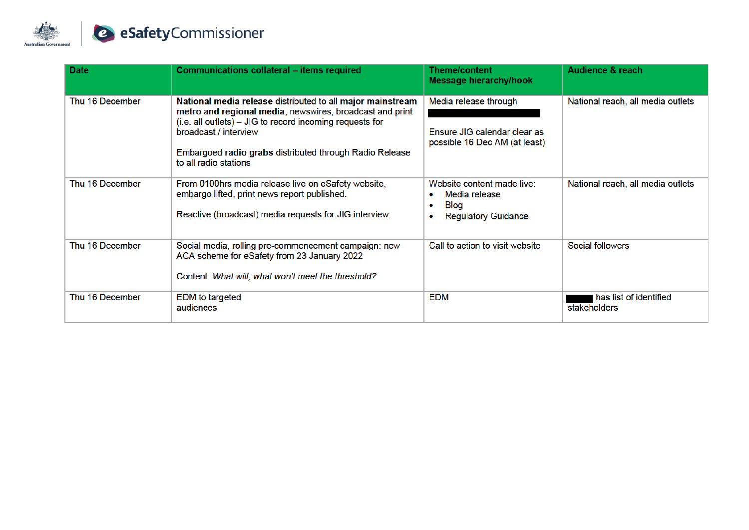

| <b>Date</b>     | <b>Communications collateral - items required</b>                                                                                                                                                                                                                                               | <b>Theme/content</b><br><b>Message hierarchy/hook</b>                                                           | <b>Audience &amp; reach</b>            |
|-----------------|-------------------------------------------------------------------------------------------------------------------------------------------------------------------------------------------------------------------------------------------------------------------------------------------------|-----------------------------------------------------------------------------------------------------------------|----------------------------------------|
| Thu 16 December | National media release distributed to all major mainstream<br>metro and regional media, newswires, broadcast and print<br>(i.e. all outlets) – JIG to record incoming requests for<br>broadcast / interview<br>Embargoed radio grabs distributed through Radio Release<br>to all radio stations | Media release through<br>Ensure JIG calendar clear as<br>possible 16 Dec AM (at least)                          | National reach, all media outlets      |
| Thu 16 December | From 0100hrs media release live on eSafety website,<br>embargo lifted, print news report published.<br>Reactive (broadcast) media requests for JIG interview.                                                                                                                                   | Website content made live:<br>Media release<br>۰<br><b>Blog</b><br>۰<br><b>Regulatory Guidance</b><br>$\bullet$ | National reach, all media outlets      |
| Thu 16 December | Social media, rolling pre-commencement campaign: new<br>ACA scheme for eSafety from 23 January 2022<br>Content: What will, what won't meet the threshold?                                                                                                                                       | Call to action to visit website                                                                                 | Social followers                       |
| Thu 16 December | <b>EDM</b> to targeted<br>audiences                                                                                                                                                                                                                                                             | <b>EDM</b>                                                                                                      | has list of identified<br>stakeholders |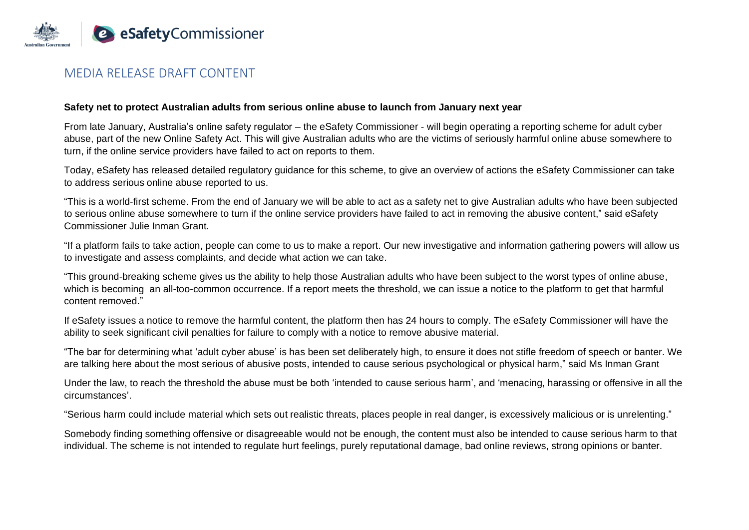

### MEDIA RELEASE DRAFT CONTENT

#### **Safety net to protect Australian adults from serious online abuse to launch from January next year**

From late January, Australia's online safety regulator – the eSafety Commissioner - will begin operating a reporting scheme for adult cyber abuse, part of the new Online Safety Act. This will give Australian adults who are the victims of seriously harmful online abuse somewhere to turn, if the online service providers have failed to act on reports to them.

Today, eSafety has released detailed regulatory guidance for this scheme, to give an overview of actions the eSafety Commissioner can take to address serious online abuse reported to us.

"This is a world-first scheme. From the end of January we will be able to act as a safety net to give Australian adults who have been subjected to serious online abuse somewhere to turn if the online service providers have failed to act in removing the abusive content," said eSafety Commissioner Julie Inman Grant.

"If a platform fails to take action, people can come to us to make a report. Our new investigative and information gathering powers will allow us to investigate and assess complaints, and decide what action we can take.

"This ground-breaking scheme gives us the ability to help those Australian adults who have been subject to the worst types of online abuse, which is becoming an all-too-common occurrence. If a report meets the threshold, we can issue a notice to the platform to get that harmful content removed."

If eSafety issues a notice to remove the harmful content, the platform then has 24 hours to comply. The eSafety Commissioner will have the ability to seek significant civil penalties for failure to comply with a notice to remove abusive material.

"The bar for determining what 'adult cyber abuse' is has been set deliberately high, to ensure it does not stifle freedom of speech or banter. We are talking here about the most serious of abusive posts, intended to cause serious psychological or physical harm," said Ms Inman Grant

Under the law, to reach the threshold the abuse must be both 'intended to cause serious harm', and 'menacing, harassing or offensive in all the circumstances'.

"Serious harm could include material which sets out realistic threats, places people in real danger, is excessively malicious or is unrelenting."

Somebody finding something offensive or disagreeable would not be enough, the content must also be intended to cause serious harm to that individual. The scheme is not intended to regulate hurt feelings, purely reputational damage, bad online reviews, strong opinions or banter.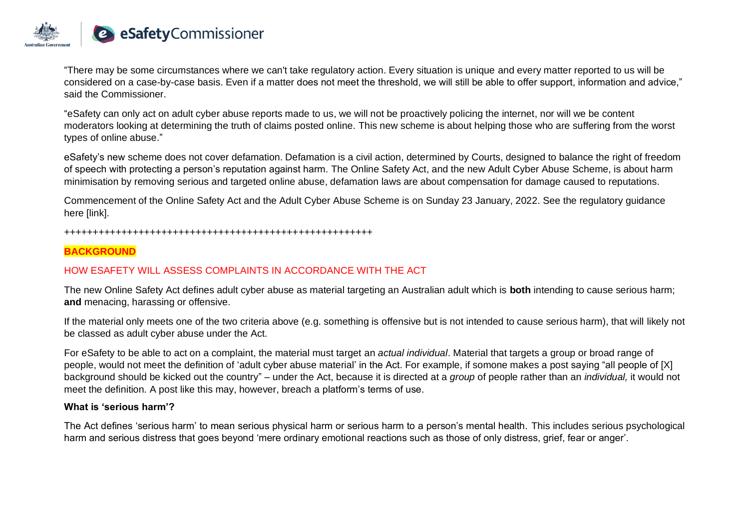

"There may be some circumstances where we can't take regulatory action. Every situation is unique and every matter reported to us will be considered on a case-by-case basis. Even if a matter does not meet the threshold, we will still be able to offer support, information and advice," said the Commissioner.

"eSafety can only act on adult cyber abuse reports made to us, we will not be proactively policing the internet, nor will we be content moderators looking at determining the truth of claims posted online. This new scheme is about helping those who are suffering from the worst types of online abuse."

eSafety's new scheme does not cover defamation. Defamation is a civil action, determined by Courts, designed to balance the right of freedom of speech with protecting a person's reputation against harm. The Online Safety Act, and the new Adult Cyber Abuse Scheme, is about harm minimisation by removing serious and targeted online abuse, defamation laws are about compensation for damage caused to reputations.

Commencement of the Online Safety Act and the Adult Cyber Abuse Scheme is on Sunday 23 January, 2022. See the regulatory guidance here [link].

#### ++++++++++++++++++++++++++++++++++++++++++++++++++++++

### **BACKGROUND**

### HOW ESAFETY WILL ASSESS COMPLAINTS IN ACCORDANCE WITH THE ACT

The new Online Safety Act defines adult cyber abuse as material targeting an Australian adult which is **both** intending to cause serious harm; **and** menacing, harassing or offensive.

If the material only meets one of the two criteria above (e.g. something is offensive but is not intended to cause serious harm), that will likely not be classed as adult cyber abuse under the Act.

For eSafety to be able to act on a complaint, the material must target an *actual individual*. Material that targets a group or broad range of people, would not meet the definition of 'adult cyber abuse material' in the Act. For example, if somone makes a post saying "all people of [X] background should be kicked out the country" – under the Act, because it is directed at a *group* of people rather than an *individual,* it would not meet the definition*.* A post like this may, however, breach a platform's terms of use.

#### **What is 'serious harm'?**

The Act defines 'serious harm' to mean serious physical harm or serious harm to a person's mental health. This includes serious psychological harm and serious distress that goes beyond 'mere ordinary emotional reactions such as those of only distress, grief, fear or anger'.